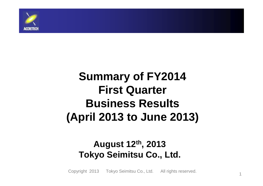

# **Summary of FY2014 First Quarter Business Results (April 2013 to June 2013)**

#### **August 12th, 2013Tokyo Seimitsu Co., Ltd.**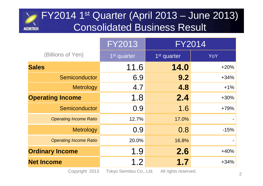# FY2014 1st Quarter (April 2013 – June 2013) Consolidated Business Result**ACCRETECH**

|                               | <b>FY2013</b>           | <b>FY2014</b>           |        |
|-------------------------------|-------------------------|-------------------------|--------|
| (Billions of Yen)             | 1 <sup>st</sup> quarter | 1 <sup>st</sup> quarter | YoY    |
| <b>Sales</b>                  | 11.6                    | 14.0                    | $+20%$ |
| Semiconductor                 | 6.9                     | 9.2                     | $+34%$ |
| <b>Metrology</b>              | 4.7                     | 4.8                     | $+1\%$ |
| <b>Operating Income</b>       | 1.8                     | 2.4                     | $+30%$ |
| Semiconductor                 | 0.9                     | 1.6                     | $+79%$ |
| <b>Operating Income Ratio</b> | 12.7%                   | 17.0%                   |        |
| <b>Metrology</b>              | 0.9                     | 0.8                     | $-15%$ |
| <b>Operating Income Ratio</b> | 20.0%                   | 16.8%                   |        |
| <b>Ordinary Income</b>        | 1.9                     | 2.6                     | $+40%$ |
| <b>Net Income</b>             | 1.2                     | 1.7                     | $+34%$ |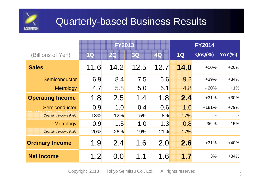

## Quarterly-based Business Results

|                               | <b>FY2013</b> |      |      |      | <b>FY2014</b> |               |               |
|-------------------------------|---------------|------|------|------|---------------|---------------|---------------|
| (Billions of Yen)             | 10            | 20   | 30   | 40   | 1Q            | <b>QoQ(%)</b> | <b>YoY(%)</b> |
| <b>Sales</b>                  | 11.6          | 14.2 | 12.5 | 12.7 | 14.0          | $+10%$        | $+20%$        |
| Semiconductor                 | 6.9           | 8.4  | 7.5  | 6.6  | 9.2           | $+39%$        | $+34%$        |
| <b>Metrology</b>              | 4.7           | 5.8  | 5.0  | 6.1  | 4.8           | $-20%$        | $+1%$         |
| <b>Operating Income</b>       | 1.8           | 2.5  | 1.4  | 1.8  | 2.4           | $+31%$        | $+30%$        |
| Semiconductor                 | 0.9           | 1.0  | 0.4  | 0.6  | 1.6           | $+181%$       | $+79%$        |
| <b>Operating Income Ratio</b> | 13%           | 12%  | 5%   | 8%   | 17%           |               |               |
| <b>Metrology</b>              | 0.9           | 1.5  | 1.0  | 1.3  | 0.8           | $-36%$        | $-15%$        |
| <b>Operating Income Ratio</b> | 20%           | 26%  | 19%  | 21%  | 17%           |               |               |
| <b>Ordinary Income</b>        | 1.9           | 2.4  | 1.6  | 2.0  | 2.6           | $+31%$        | $+40%$        |
| <b>Net Income</b>             | 1.2           | 0.0  | 1.1  | 1.6  | 1.7           | $+3%$         | $+34%$        |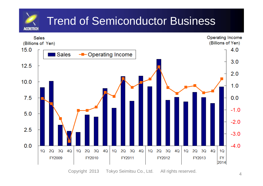#### Trend of Semiconductor Business**ACCRETECH**

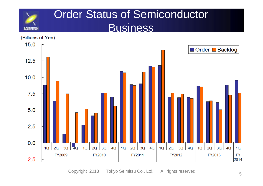

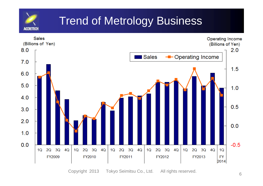

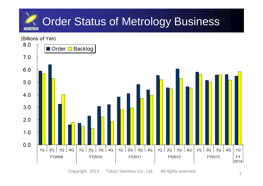

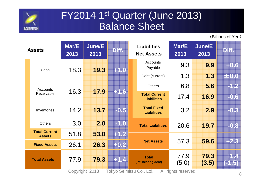

## FY2014 1<sup>st</sup> Quarter (June 2013) Balance Sheet

(Billions of Yen)

| Mar/E<br><b>Assets</b><br>2013        |      | June/E<br>2013         | <b>Liabilities</b><br>Diff.<br><b>Net Assets</b> |                                                                 | Mar/E<br>2013                         | June/E<br>2013 | Diff.              |     |        |
|---------------------------------------|------|------------------------|--------------------------------------------------|-----------------------------------------------------------------|---------------------------------------|----------------|--------------------|-----|--------|
| Cash                                  | 18.3 | 19.3                   | $+1.0$                                           | <b>Accounts</b><br>Payable                                      | 9.3                                   | 9.9            | $+0.6$             |     |        |
|                                       |      |                        |                                                  | Debt (current)                                                  | 1.3                                   | 1.3            | ±0.0               |     |        |
| Accounts                              |      |                        |                                                  |                                                                 |                                       | <b>Others</b>  | 6.8                | 5.6 | $-1.2$ |
| Receivable                            | 16.3 | 17.9                   | -1.6                                             | <b>Total Current</b><br><b>Liabilities</b>                      | 17.4                                  | 16.9           | $-0.6$             |     |        |
| Inventories                           | 14.2 | 13.7                   | $-0.5$                                           | <b>Total Fixed</b><br><b>Liabilities</b>                        | 3.2                                   | 2.9            | $-0.3$             |     |        |
| <b>Others</b>                         | 3.0  | 2.0                    | $-1.0$                                           | <b>Total Liabilities</b>                                        | 20.6                                  | 19.7           | $-0.8$             |     |        |
| <b>Total Current</b><br><b>Assets</b> | 51.8 | 53.0                   | $+1.2$                                           |                                                                 |                                       |                |                    |     |        |
| <b>Fixed Assets</b>                   | 26.1 | 26.3                   | $+0.2$                                           | <b>Net Assets</b>                                               | 57.3                                  | 59.6           | $+2.3$             |     |        |
| <b>Total Assets</b>                   | 77.9 | 79.3<br>Copyright 2013 | $+1.4$                                           | <b>Total</b><br>(Int. bearing debt)<br>Tokyo Seimitsu Co., Ltd. | 77.9<br>(5.0)<br>All rights reserved. | 79.3<br>(3.5)  | $+1.4$<br>$(-1.5)$ |     |        |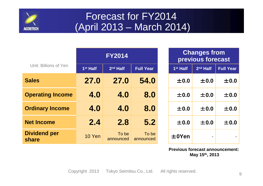

## Forecast for FY2014(April 2013 – March 2014)

|                              | <b>FY2014</b>        |                      |                    |  |
|------------------------------|----------------------|----------------------|--------------------|--|
| Unit: Billions of Yen        | 1 <sup>st</sup> Half | 2 <sup>nd</sup> Half | <b>Full Year</b>   |  |
| <b>Sales</b>                 | 27.0                 | 27,0                 | 54.0               |  |
| <b>Operating Income</b>      | 4.0                  | 4.0                  | 8.0                |  |
| <b>Ordinary Income</b>       | 4.0                  | 4.0                  | 8.0                |  |
| <b>Net Income</b>            | 2.4                  | 2.8                  | 5.2                |  |
| <b>Dividend per</b><br>share | <b>10 Yen</b>        | To be<br>announced   | To be<br>announced |  |

| <b>Changes from</b><br>previous forecast |                      |                  |  |  |  |  |
|------------------------------------------|----------------------|------------------|--|--|--|--|
| 1 <sup>st</sup> Half                     | 2 <sup>nd</sup> Half | <b>Full Year</b> |  |  |  |  |
| $\pm 0.0$                                | ±0.0                 | ±0.0             |  |  |  |  |
| $\pm 0.0$                                | ±0.0                 | ±0.0             |  |  |  |  |
| ±0.0                                     | ±0.0                 | ±0.0             |  |  |  |  |
| $\pm 0.0$                                | ±0.0                 | ±0.0             |  |  |  |  |
| $\pm$ 0Yen                               |                      |                  |  |  |  |  |

**Previous forecast announcement:May 15th, 2013**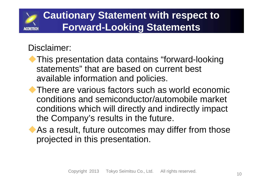# **Cautionary Statement with respect to Forward-Looking Statements**

#### Disclaimer:

- This presentation data contains "forward-looking statements" that are based on current best available information and policies.
- ◆ There are various factors such as world economic conditions and semiconductor/automobile market conditions which will directly and indirectly impact the Company's results in the future.
- As a result, future outcomes may differ from those projected in this presentation.